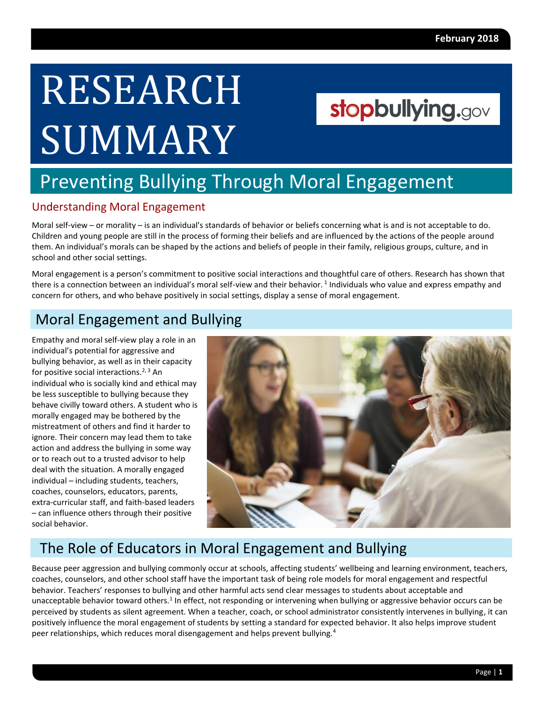# RESEARCH **SUMMARY**

## stopbullying.gov

## Preventing Bullying Through Moral Engagement

#### Understanding Moral Engagement

Moral self-view – or morality – is an individual's standards of behavior or beliefs concerning what is and is not acceptable to do. Children and young people are still in the process of forming their beliefs and are influenced by the actions of the people around them. An individual's morals can be shaped by the actions and beliefs of people in their family, religious groups, culture, and in school and other social settings.

Moral engagement is a person's commitment to positive social interactions and thoughtful care of others. Research has shown that there is a connection between an individual's moral self-view and their behavior.<sup>1</sup> Individuals who value and express empathy and concern for others, and who behave positively in social settings, display a sense of moral engagement.

### Moral Engagement and Bullying

Empathy and moral self-view play a role in an individual's potential for aggressive and bullying behavior, as well as in their capacity for positive social interactions.<sup>2, 3</sup> An individual who is socially kind and ethical may be less susceptible to bullying because they behave civilly toward others. A student who is morally engaged may be bothered by the mistreatment of others and find it harder to ignore. Their concern may lead them to take action and address the bullying in some way or to reach out to a trusted advisor to help deal with the situation. A morally engaged individual – including students, teachers, coaches, counselors, educators, parents, extra-curricular staff, and faith-based leaders – can influence others through their positive social behavior.



### The Role of Educators in Moral Engagement and Bullying

Because peer aggression and bullying commonly occur at schools, affecting students' wellbeing and learning environment, teachers, coaches, counselors, and other school staff have the important task of being role models for moral engagement and respectful behavior. Teachers' responses to bullying and other harmful acts send clear messages to students about acceptable and unacceptable behavior toward others.<sup>1</sup> In effect, not responding or intervening when bullying or aggressive behavior occurs can be perceived by students as silent agreement. When a teacher, coach, or school administrator consistently intervenes in bullying, it can positively influence the moral engagement of students by setting a standard for expected behavior. It also helps improve student peer relationships, which reduces moral disengagement and helps prevent bullying.4